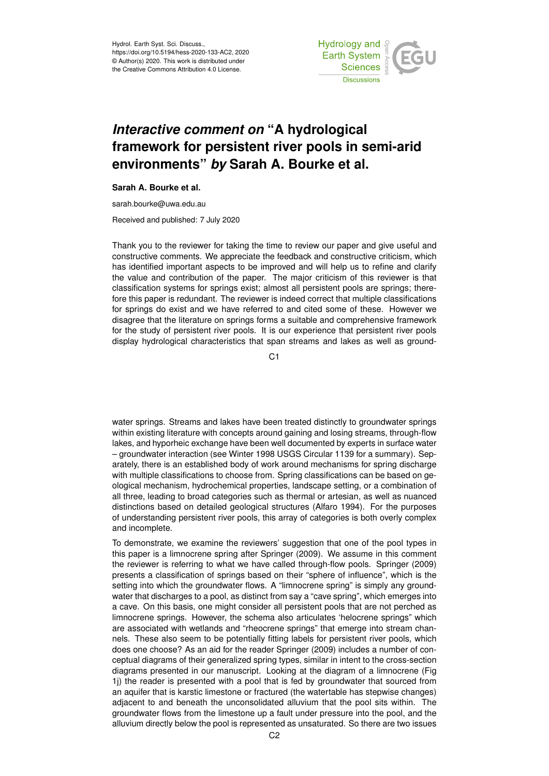Hydrol. Earth Syst. Sci. Discuss., https://doi.org/10.5194/hess-2020-133-AC2, 2020 © Author(s) 2020. This work is distributed under the Creative Commons Attribution 4.0 License.



## *Interactive comment on* **"A hydrological framework for persistent river pools in semi-arid environments"** *by* **Sarah A. Bourke et al.**

## **Sarah A. Bourke et al.**

sarah.bourke@uwa.edu.au

Received and published: 7 July 2020

Thank you to the reviewer for taking the time to review our paper and give useful and constructive comments. We appreciate the feedback and constructive criticism, which has identified important aspects to be improved and will help us to refine and clarify the value and contribution of the paper. The major criticism of this reviewer is that classification systems for springs exist; almost all persistent pools are springs; therefore this paper is redundant. The reviewer is indeed correct that multiple classifications for springs do exist and we have referred to and cited some of these. However we disagree that the literature on springs forms a suitable and comprehensive framework for the study of persistent river pools. It is our experience that persistent river pools display hydrological characteristics that span streams and lakes as well as ground-

C<sub>1</sub>

water springs. Streams and lakes have been treated distinctly to groundwater springs within existing literature with concepts around gaining and losing streams, through-flow lakes, and hyporheic exchange have been well documented by experts in surface water – groundwater interaction (see Winter 1998 USGS Circular 1139 for a summary). Separately, there is an established body of work around mechanisms for spring discharge with multiple classifications to choose from. Spring classifications can be based on geological mechanism, hydrochemical properties, landscape setting, or a combination of all three, leading to broad categories such as thermal or artesian, as well as nuanced distinctions based on detailed geological structures (Alfaro 1994). For the purposes of understanding persistent river pools, this array of categories is both overly complex and incomplete.

To demonstrate, we examine the reviewers' suggestion that one of the pool types in this paper is a limnocrene spring after Springer (2009). We assume in this comment the reviewer is referring to what we have called through-flow pools. Springer (2009) presents a classification of springs based on their "sphere of influence", which is the setting into which the groundwater flows. A "limnocrene spring" is simply any groundwater that discharges to a pool, as distinct from say a "cave spring", which emerges into a cave. On this basis, one might consider all persistent pools that are not perched as limnocrene springs. However, the schema also articulates 'helocrene springs" which are associated with wetlands and "rheocrene springs" that emerge into stream channels. These also seem to be potentially fitting labels for persistent river pools, which does one choose? As an aid for the reader Springer (2009) includes a number of conceptual diagrams of their generalized spring types, similar in intent to the cross-section diagrams presented in our manuscript. Looking at the diagram of a limnocrene (Fig 1j) the reader is presented with a pool that is fed by groundwater that sourced from an aquifer that is karstic limestone or fractured (the watertable has stepwise changes) adjacent to and beneath the unconsolidated alluvium that the pool sits within. The groundwater flows from the limestone up a fault under pressure into the pool, and the alluvium directly below the pool is represented as unsaturated. So there are two issues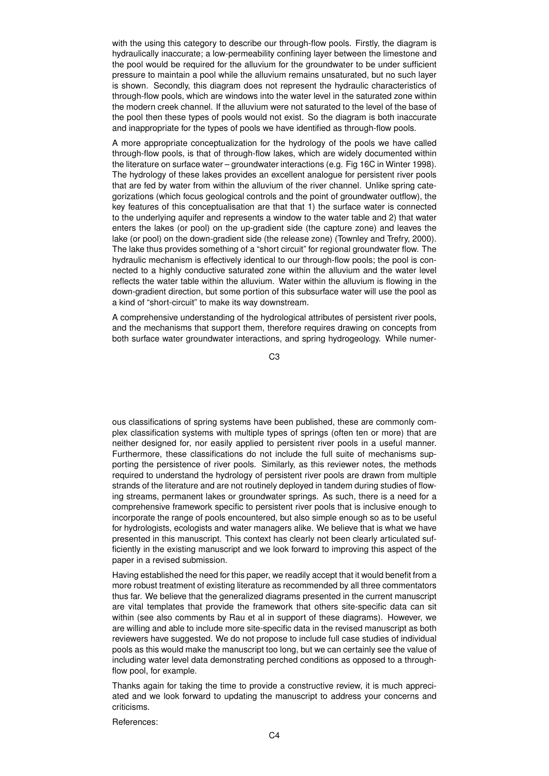with the using this category to describe our through-flow pools. Firstly, the diagram is hydraulically inaccurate; a low-permeability confining layer between the limestone and the pool would be required for the alluvium for the groundwater to be under sufficient pressure to maintain a pool while the alluvium remains unsaturated, but no such layer is shown. Secondly, this diagram does not represent the hydraulic characteristics of through-flow pools, which are windows into the water level in the saturated zone within the modern creek channel. If the alluvium were not saturated to the level of the base of the pool then these types of pools would not exist. So the diagram is both inaccurate and inappropriate for the types of pools we have identified as through-flow pools.

A more appropriate conceptualization for the hydrology of the pools we have called through-flow pools, is that of through-flow lakes, which are widely documented within the literature on surface water – groundwater interactions (e.g. Fig 16C in Winter 1998). The hydrology of these lakes provides an excellent analogue for persistent river pools that are fed by water from within the alluvium of the river channel. Unlike spring categorizations (which focus geological controls and the point of groundwater outflow), the key features of this conceptualisation are that that 1) the surface water is connected to the underlying aquifer and represents a window to the water table and 2) that water enters the lakes (or pool) on the up-gradient side (the capture zone) and leaves the lake (or pool) on the down-gradient side (the release zone) (Townley and Trefry, 2000). The lake thus provides something of a "short circuit" for regional groundwater flow. The hydraulic mechanism is effectively identical to our through-flow pools; the pool is connected to a highly conductive saturated zone within the alluvium and the water level reflects the water table within the alluvium. Water within the alluvium is flowing in the down-gradient direction, but some portion of this subsurface water will use the pool as a kind of "short-circuit" to make its way downstream.

A comprehensive understanding of the hydrological attributes of persistent river pools, and the mechanisms that support them, therefore requires drawing on concepts from both surface water groundwater interactions, and spring hydrogeology. While numer-

C3

ous classifications of spring systems have been published, these are commonly complex classification systems with multiple types of springs (often ten or more) that are neither designed for, nor easily applied to persistent river pools in a useful manner. Furthermore, these classifications do not include the full suite of mechanisms supporting the persistence of river pools. Similarly, as this reviewer notes, the methods required to understand the hydrology of persistent river pools are drawn from multiple strands of the literature and are not routinely deployed in tandem during studies of flowing streams, permanent lakes or groundwater springs. As such, there is a need for a comprehensive framework specific to persistent river pools that is inclusive enough to incorporate the range of pools encountered, but also simple enough so as to be useful for hydrologists, ecologists and water managers alike. We believe that is what we have presented in this manuscript. This context has clearly not been clearly articulated sufficiently in the existing manuscript and we look forward to improving this aspect of the paper in a revised submission.

Having established the need for this paper, we readily accept that it would benefit from a more robust treatment of existing literature as recommended by all three commentators thus far. We believe that the generalized diagrams presented in the current manuscript are vital templates that provide the framework that others site-specific data can sit within (see also comments by Rau et al in support of these diagrams). However, we are willing and able to include more site-specific data in the revised manuscript as both reviewers have suggested. We do not propose to include full case studies of individual pools as this would make the manuscript too long, but we can certainly see the value of including water level data demonstrating perched conditions as opposed to a throughflow pool, for example.

Thanks again for taking the time to provide a constructive review, it is much appreciated and we look forward to updating the manuscript to address your concerns and criticisms.

References: